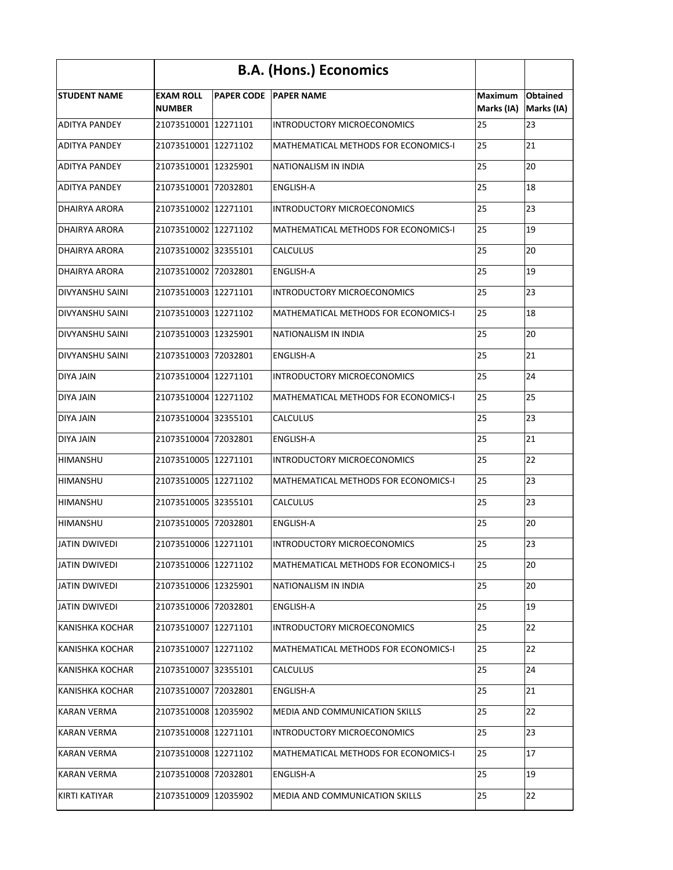|                        | <b>B.A. (Hons.) Economics</b>     |  |                                       |                              |                               |
|------------------------|-----------------------------------|--|---------------------------------------|------------------------------|-------------------------------|
| <b>STUDENT NAME</b>    | <b>EXAM ROLL</b><br><b>NUMBER</b> |  | <b>PAPER CODE PAPER NAME</b>          | <b>Maximum</b><br>Marks (IA) | <b>Obtained</b><br>Marks (IA) |
| <b>ADITYA PANDEY</b>   | 21073510001 12271101              |  | <b>INTRODUCTORY MICROECONOMICS</b>    | 25                           | 23                            |
| <b>ADITYA PANDEY</b>   | 21073510001 12271102              |  | MATHEMATICAL METHODS FOR ECONOMICS-I  | 25                           | 21                            |
| <b>ADITYA PANDEY</b>   | 21073510001 12325901              |  | NATIONALISM IN INDIA                  | 25                           | 20                            |
| <b>ADITYA PANDEY</b>   | 21073510001 72032801              |  | <b>ENGLISH-A</b>                      | 25                           | 18                            |
| <b>DHAIRYA ARORA</b>   | 21073510002 12271101              |  | <b>INTRODUCTORY MICROECONOMICS</b>    | 25                           | 23                            |
| <b>DHAIRYA ARORA</b>   | 21073510002 12271102              |  | MATHEMATICAL METHODS FOR ECONOMICS-I  | 25                           | 19                            |
| <b>DHAIRYA ARORA</b>   | 21073510002 32355101              |  | <b>CALCULUS</b>                       | 25                           | 20                            |
| <b>DHAIRYA ARORA</b>   | 21073510002 72032801              |  | <b>ENGLISH-A</b>                      | 25                           | 19                            |
| <b>DIVYANSHU SAINI</b> | 21073510003 12271101              |  | INTRODUCTORY MICROECONOMICS           | 25                           | 23                            |
| <b>DIVYANSHU SAINI</b> | 21073510003   12271102            |  | MATHEMATICAL METHODS FOR ECONOMICS-I  | 25                           | 18                            |
| <b>DIVYANSHU SAINI</b> | 21073510003 12325901              |  | NATIONALISM IN INDIA                  | 25                           | 20                            |
| <b>DIVYANSHU SAINI</b> | 21073510003 72032801              |  | <b>ENGLISH-A</b>                      | 25                           | 21                            |
| <b>DIYA JAIN</b>       | 21073510004 12271101              |  | INTRODUCTORY MICROECONOMICS           | 25                           | 24                            |
| <b>DIYA JAIN</b>       | 21073510004 12271102              |  | MATHEMATICAL METHODS FOR ECONOMICS-I  | 25                           | 25                            |
| <b>DIYA JAIN</b>       | 21073510004 32355101              |  | <b>CALCULUS</b>                       | 25                           | 23                            |
| <b>DIYA JAIN</b>       | 21073510004 72032801              |  | <b>ENGLISH-A</b>                      | 25                           | 21                            |
| <b>HIMANSHU</b>        | 21073510005 12271101              |  | <b>INTRODUCTORY MICROECONOMICS</b>    | 25                           | 22                            |
| <b>HIMANSHU</b>        | 21073510005 12271102              |  | MATHEMATICAL METHODS FOR ECONOMICS-I  | 25                           | 23                            |
| HIMANSHU               | 21073510005 32355101              |  | <b>CALCULUS</b>                       | 25                           | 23                            |
| <b>HIMANSHU</b>        | 21073510005 72032801              |  | <b>ENGLISH-A</b>                      | 25                           | 20                            |
| <b>JATIN DWIVEDI</b>   | 21073510006 12271101              |  | <b>INTRODUCTORY MICROECONOMICS</b>    | 25                           | 23                            |
| <b>JATIN DWIVEDI</b>   | 21073510006 12271102              |  | MATHEMATICAL METHODS FOR ECONOMICS-I  | 25                           | 20                            |
| <b>JATIN DWIVEDI</b>   | 21073510006 12325901              |  | NATIONALISM IN INDIA                  | 25                           | 20                            |
| <b>JATIN DWIVEDI</b>   | 21073510006 72032801              |  | <b>ENGLISH-A</b>                      | 25                           | 19                            |
| <b>KANISHKA KOCHAR</b> | 21073510007 12271101              |  | <b>INTRODUCTORY MICROECONOMICS</b>    | 25                           | 22                            |
| <b>KANISHKA KOCHAR</b> | 21073510007 12271102              |  | MATHEMATICAL METHODS FOR ECONOMICS-I  | 25                           | 22                            |
| <b>KANISHKA KOCHAR</b> | 21073510007 32355101              |  | <b>CALCULUS</b>                       | 25                           | 24                            |
| <b>KANISHKA KOCHAR</b> | 21073510007 72032801              |  | <b>ENGLISH-A</b>                      | 25                           | 21                            |
| <b>KARAN VERMA</b>     | 21073510008 12035902              |  | <b>MEDIA AND COMMUNICATION SKILLS</b> | 25                           | 22                            |
| <b>KARAN VERMA</b>     | 21073510008 12271101              |  | INTRODUCTORY MICROECONOMICS           | 25                           | 23                            |
| <b>KARAN VERMA</b>     | 21073510008 12271102              |  | MATHEMATICAL METHODS FOR ECONOMICS-I  | 25                           | 17                            |
| <b>KARAN VERMA</b>     | 21073510008 72032801              |  | <b>ENGLISH-A</b>                      | 25                           | 19                            |
| <b>KIRTI KATIYAR</b>   | 21073510009 12035902              |  | <b>MEDIA AND COMMUNICATION SKILLS</b> | 25                           | 22                            |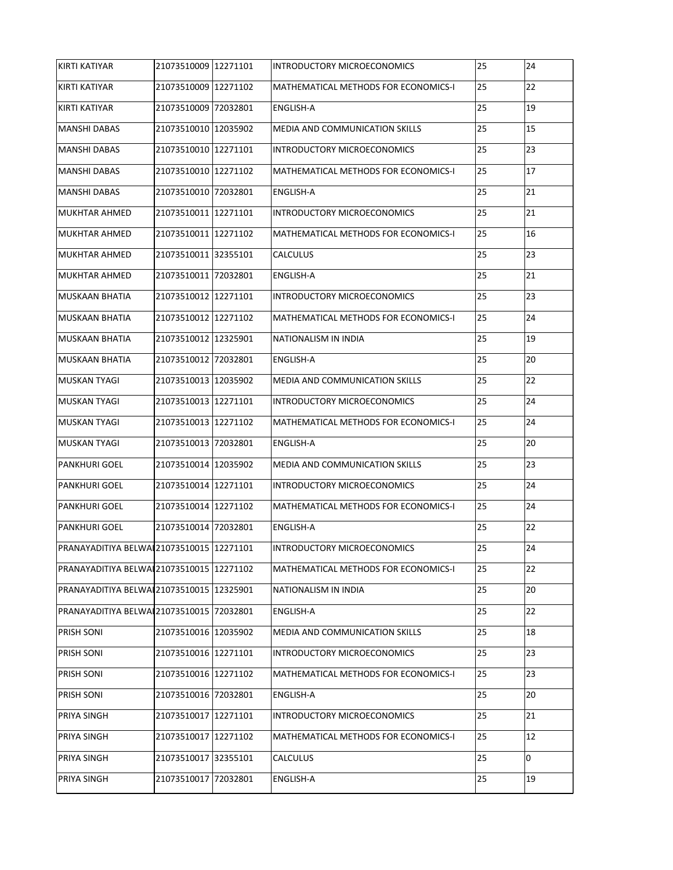| KIRTI KATIYAR                               | 21073510009 12271101 | INTRODUCTORY MICROECONOMICS           | 25 | 24 |
|---------------------------------------------|----------------------|---------------------------------------|----|----|
| KIRTI KATIYAR                               | 21073510009 12271102 | MATHEMATICAL METHODS FOR ECONOMICS-I  | 25 | 22 |
| KIRTI KATIYAR                               | 21073510009 72032801 | <b>ENGLISH-A</b>                      | 25 | 19 |
| MANSHI DABAS                                | 21073510010 12035902 | <b>MEDIA AND COMMUNICATION SKILLS</b> | 25 | 15 |
| MANSHI DABAS                                | 21073510010 12271101 | INTRODUCTORY MICROECONOMICS           | 25 | 23 |
| MANSHI DABAS                                | 21073510010 12271102 | MATHEMATICAL METHODS FOR ECONOMICS-I  | 25 | 17 |
| MANSHI DABAS                                | 21073510010 72032801 | <b>ENGLISH-A</b>                      | 25 | 21 |
| <b>MUKHTAR AHMED</b>                        | 21073510011 12271101 | INTRODUCTORY MICROECONOMICS           | 25 | 21 |
| <b>MUKHTAR AHMED</b>                        | 21073510011 12271102 | MATHEMATICAL METHODS FOR ECONOMICS-I  | 25 | 16 |
| MUKHTAR AHMED                               | 21073510011 32355101 | <b>CALCULUS</b>                       | 25 | 23 |
| MUKHTAR AHMED                               | 21073510011 72032801 | <b>ENGLISH-A</b>                      | 25 | 21 |
| <b>I</b> MUSKAAN BHATIA                     | 21073510012 12271101 | <b>INTRODUCTORY MICROECONOMICS</b>    | 25 | 23 |
| MUSKAAN BHATIA                              | 21073510012 12271102 | MATHEMATICAL METHODS FOR ECONOMICS-I  | 25 | 24 |
| MUSKAAN BHATIA                              | 21073510012 12325901 | NATIONALISM IN INDIA                  | 25 | 19 |
| MUSKAAN BHATIA                              | 21073510012 72032801 | <b>ENGLISH-A</b>                      | 25 | 20 |
| MUSKAN TYAGI                                | 21073510013 12035902 | MEDIA AND COMMUNICATION SKILLS        | 25 | 22 |
| MUSKAN TYAGI                                | 21073510013 12271101 | INTRODUCTORY MICROECONOMICS           | 25 | 24 |
| IMUSKAN TYAGI                               | 21073510013 12271102 | MATHEMATICAL METHODS FOR ECONOMICS-I  | 25 | 24 |
| MUSKAN TYAGI                                | 21073510013 72032801 | <b>ENGLISH-A</b>                      | 25 | 20 |
| PANKHURI GOEL                               | 21073510014 12035902 | MEDIA AND COMMUNICATION SKILLS        | 25 | 23 |
| <b>PANKHURI GOEL</b>                        | 21073510014 12271101 | INTRODUCTORY MICROECONOMICS           | 25 | 24 |
| <b>PANKHURI GOEL</b>                        | 21073510014 12271102 | MATHEMATICAL METHODS FOR ECONOMICS-I  | 25 | 24 |
| <b>PANKHURI GOEL</b>                        | 21073510014 72032801 | <b>ENGLISH-A</b>                      | 25 | 22 |
| PRANAYADITIYA BELWAI 21073510015   12271101 |                      | INTRODUCTORY MICROECONOMICS           | 25 | 24 |
| PRANAYADITIYA BELWAI 21073510015   12271102 |                      | MATHEMATICAL METHODS FOR ECONOMICS-I  | 25 | 22 |
| PRANAYADITIYA BELWAI 21073510015   12325901 |                      | NATIONALISM IN INDIA                  | 25 | 20 |
| PRANAYADITIYA BELWAI 21073510015 72032801   |                      | ENGLISH-A                             | 25 | 22 |
| <b>PRISH SONI</b>                           | 21073510016 12035902 | MEDIA AND COMMUNICATION SKILLS        | 25 | 18 |
| <b>PRISH SONI</b>                           | 21073510016 12271101 | INTRODUCTORY MICROECONOMICS           | 25 | 23 |
| <b>PRISH SONI</b>                           | 21073510016 12271102 | MATHEMATICAL METHODS FOR ECONOMICS-I  | 25 | 23 |
| <b>PRISH SONI</b>                           | 21073510016 72032801 | <b>ENGLISH-A</b>                      | 25 | 20 |
| <b>PRIYA SINGH</b>                          | 21073510017 12271101 | INTRODUCTORY MICROECONOMICS           | 25 | 21 |
| <b>PRIYA SINGH</b>                          | 21073510017 12271102 | MATHEMATICAL METHODS FOR ECONOMICS-I  | 25 | 12 |
| <b>PRIYA SINGH</b>                          | 21073510017 32355101 | <b>CALCULUS</b>                       | 25 | 0  |
| <b>PRIYA SINGH</b>                          | 21073510017 72032801 | <b>ENGLISH-A</b>                      | 25 | 19 |
|                                             |                      |                                       |    |    |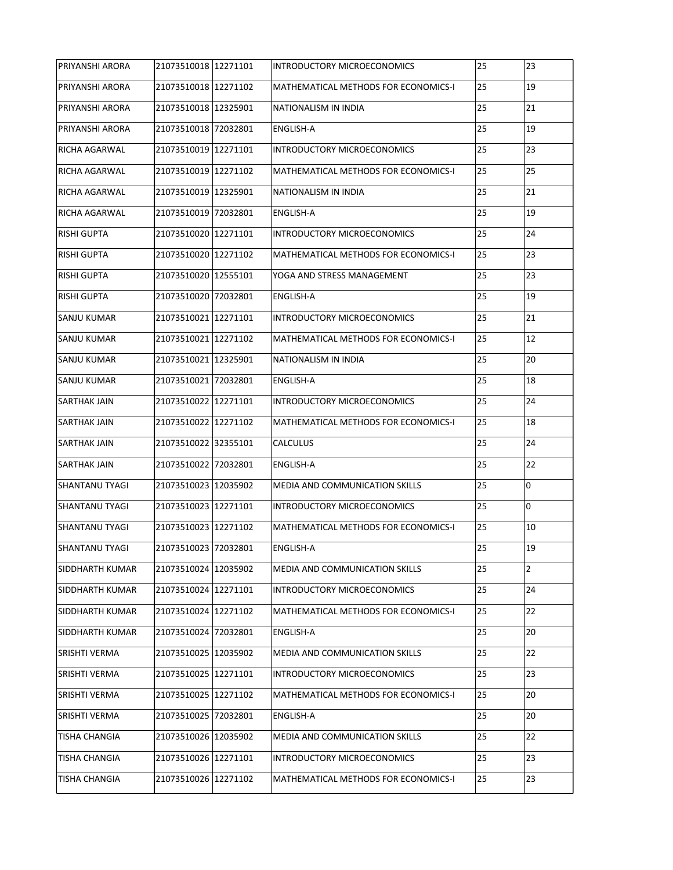| <b>PRIYANSHI ARORA</b> | 21073510018 12271101 | INTRODUCTORY MICROECONOMICS           | 25 | 23             |
|------------------------|----------------------|---------------------------------------|----|----------------|
| <b>PRIYANSHI ARORA</b> | 21073510018 12271102 | MATHEMATICAL METHODS FOR ECONOMICS-I  | 25 | 19             |
| <b>PRIYANSHI ARORA</b> | 21073510018 12325901 | NATIONALISM IN INDIA                  | 25 | 21             |
| <b>PRIYANSHI ARORA</b> | 21073510018 72032801 | <b>ENGLISH-A</b>                      | 25 | 19             |
| <b>RICHA AGARWAL</b>   | 21073510019 12271101 | INTRODUCTORY MICROECONOMICS           | 25 | 23             |
| <b>RICHA AGARWAL</b>   | 21073510019 12271102 | MATHEMATICAL METHODS FOR ECONOMICS-I  | 25 | 25             |
| <b>RICHA AGARWAL</b>   | 21073510019 12325901 | NATIONALISM IN INDIA                  | 25 | 21             |
| <b>RICHA AGARWAL</b>   | 21073510019 72032801 | <b>ENGLISH-A</b>                      | 25 | 19             |
| <b>RISHI GUPTA</b>     | 21073510020 12271101 | INTRODUCTORY MICROECONOMICS           | 25 | 24             |
| <b>RISHI GUPTA</b>     | 21073510020 12271102 | MATHEMATICAL METHODS FOR ECONOMICS-I  | 25 | 23             |
| <b>RISHI GUPTA</b>     | 21073510020 12555101 | YOGA AND STRESS MANAGEMENT            | 25 | 23             |
| <b>RISHI GUPTA</b>     | 21073510020 72032801 | <b>ENGLISH-A</b>                      | 25 | 19             |
| <b>SANJU KUMAR</b>     | 21073510021 12271101 | INTRODUCTORY MICROECONOMICS           | 25 | 21             |
| <b>SANJU KUMAR</b>     | 21073510021 12271102 | MATHEMATICAL METHODS FOR ECONOMICS-I  | 25 | 12             |
| <b>SANJU KUMAR</b>     | 21073510021 12325901 | NATIONALISM IN INDIA                  | 25 | 20             |
| <b>SANJU KUMAR</b>     | 21073510021 72032801 | <b>ENGLISH-A</b>                      | 25 | 18             |
| <b>SARTHAK JAIN</b>    | 21073510022 12271101 | INTRODUCTORY MICROECONOMICS           | 25 | 24             |
| <b>SARTHAK JAIN</b>    | 21073510022 12271102 | MATHEMATICAL METHODS FOR ECONOMICS-I  | 25 | 18             |
| <b>SARTHAK JAIN</b>    | 21073510022 32355101 | <b>CALCULUS</b>                       | 25 | 24             |
| <b>SARTHAK JAIN</b>    | 21073510022 72032801 | ENGLISH-A                             | 25 | 22             |
| <b>SHANTANU TYAGI</b>  | 21073510023 12035902 | MEDIA AND COMMUNICATION SKILLS        | 25 | 0              |
| <b>SHANTANU TYAGI</b>  | 21073510023 12271101 | INTRODUCTORY MICROECONOMICS           | 25 | 0              |
| <b>SHANTANU TYAGI</b>  | 21073510023 12271102 | MATHEMATICAL METHODS FOR ECONOMICS-I  | 25 | 10             |
| <b>SHANTANU TYAGI</b>  | 21073510023 72032801 | ENGLISH-A                             | 25 | 19             |
| <b>SIDDHARTH KUMAR</b> | 21073510024 12035902 | MEDIA AND COMMUNICATION SKILLS        | 25 | $\overline{2}$ |
| <b>SIDDHARTH KUMAR</b> | 21073510024 12271101 | INTRODUCTORY MICROECONOMICS           | 25 | 24             |
| <b>SIDDHARTH KUMAR</b> | 21073510024 12271102 | MATHEMATICAL METHODS FOR ECONOMICS-I  | 25 | 22             |
| <b>SIDDHARTH KUMAR</b> | 21073510024 72032801 | <b>ENGLISH-A</b>                      | 25 | 20             |
| <b>SRISHTI VERMA</b>   | 21073510025 12035902 | <b>MEDIA AND COMMUNICATION SKILLS</b> | 25 | 22             |
| <b>SRISHTI VERMA</b>   | 21073510025 12271101 | INTRODUCTORY MICROECONOMICS           | 25 | 23             |
| <b>SRISHTI VERMA</b>   | 21073510025 12271102 | MATHEMATICAL METHODS FOR ECONOMICS-I  | 25 | 20             |
| <b>SRISHTI VERMA</b>   | 21073510025 72032801 | ENGLISH-A                             | 25 | 20             |
| <b>TISHA CHANGIA</b>   | 21073510026 12035902 | MEDIA AND COMMUNICATION SKILLS        | 25 | 22             |
| <b>TISHA CHANGIA</b>   | 21073510026 12271101 | INTRODUCTORY MICROECONOMICS           | 25 | 23             |
| <b>TISHA CHANGIA</b>   | 21073510026 12271102 | MATHEMATICAL METHODS FOR ECONOMICS-I  | 25 | 23             |